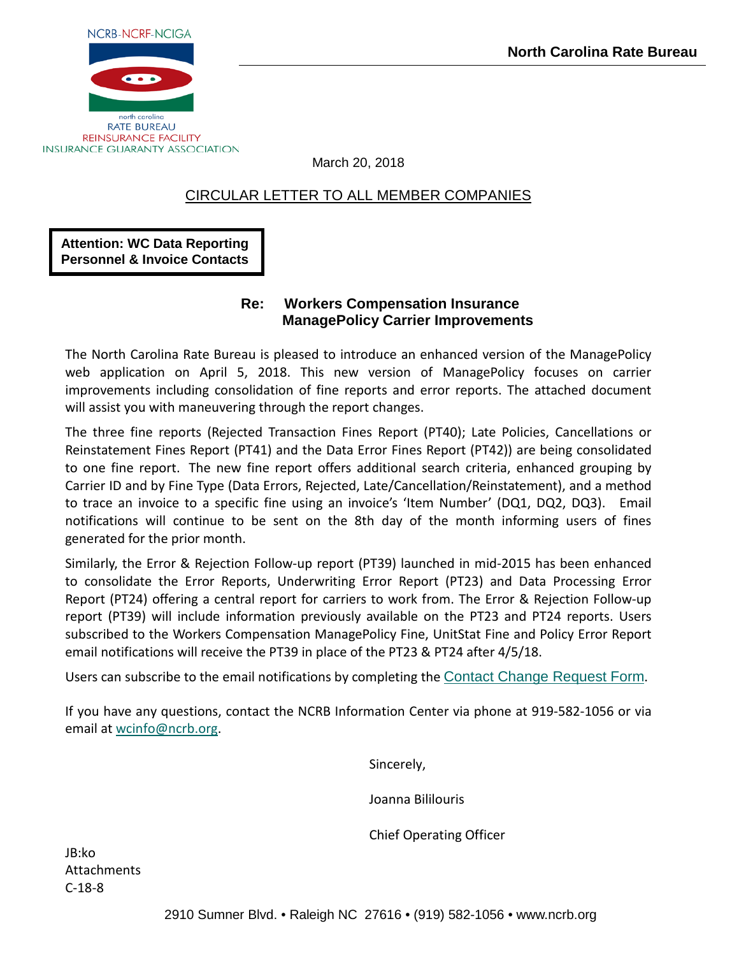

March 20, 2018

# CIRCULAR LETTER TO ALL MEMBER COMPANIES

**Attention: WC Data Reporting Personnel & Invoice Contacts**

## **Re: Workers Compensation Insurance ManagePolicy Carrier Improvements**

The North Carolina Rate Bureau is pleased to introduce an enhanced version of the ManagePolicy web application on April 5, 2018. This new version of ManagePolicy focuses on carrier improvements including consolidation of fine reports and error reports. The attached document will assist you with maneuvering through the report changes.

The three fine reports (Rejected Transaction Fines Report (PT40); Late Policies, Cancellations or Reinstatement Fines Report (PT41) and the Data Error Fines Report (PT42)) are being consolidated to one fine report. The new fine report offers additional search criteria, enhanced grouping by Carrier ID and by Fine Type (Data Errors, Rejected, Late/Cancellation/Reinstatement), and a method to trace an invoice to a specific fine using an invoice's 'Item Number' (DQ1, DQ2, DQ3). Email notifications will continue to be sent on the 8th day of the month informing users of fines generated for the prior month.

Similarly, the Error & Rejection Follow-up report (PT39) launched in mid-2015 has been enhanced to consolidate the Error Reports, Underwriting Error Report (PT23) and Data Processing Error Report (PT24) offering a central report for carriers to work from. The Error & Rejection Follow-up report (PT39) will include information previously available on the PT23 and PT24 reports. Users subscribed to the Workers Compensation ManagePolicy Fine, UnitStat Fine and Policy Error Report email notifications will receive the PT39 in place of the PT23 & PT24 after 4/5/18.

Users can subscribe to the email notifications by completing the [Contact Change Request Form](http://www.ncrb.org/Portals/0/ncrb/workers%20comp%20services/forms/NCRB%20Contact%20Change%20Request%20Form%20v4.pdf).

If you have any questions, contact the NCRB Information Center via phone at 919-582-1056 or via email at [wcinfo@ncrb.org.](mailto:wcinfo@ncrb.org)

Sincerely,

Joanna Bililouris

Chief Operating Officer

JB:ko Attachments C-18-8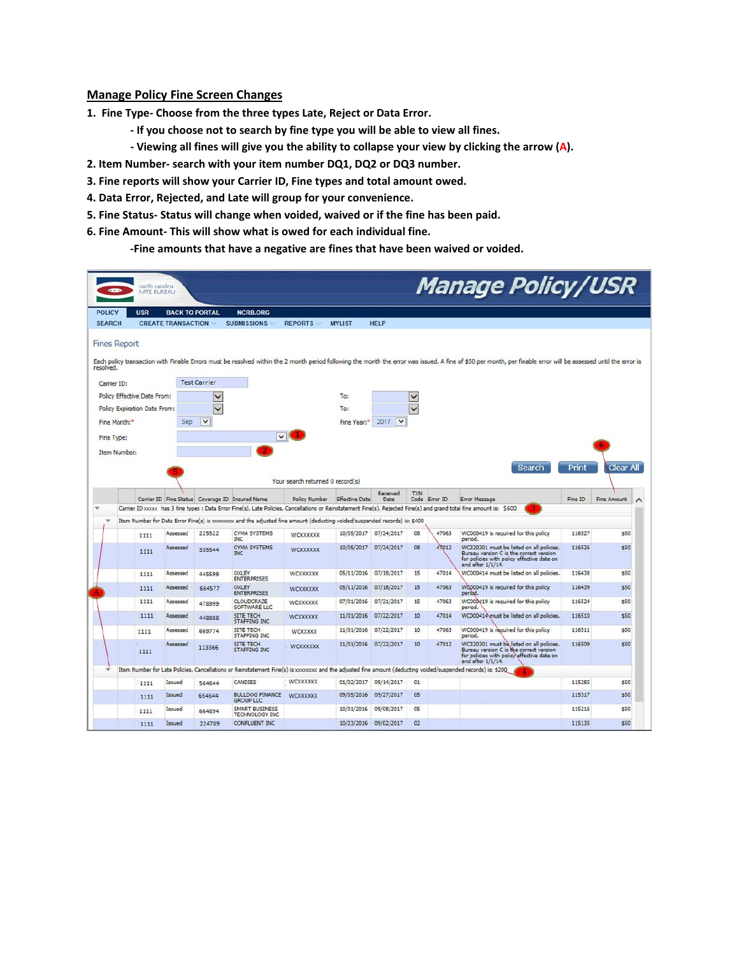#### **Manage Policy Fine Screen Changes**

- **1. Fine Type- Choose from the three types Late, Reject or Data Error.**
	- **- If you choose not to search by fine type you will be able to view all fines.**
	- **- Viewing all fines will give you the ability to collapse your view by clicking the arrow (A).**
- **2. Item Number- search with your item number DQ1, DQ2 or DQ3 number.**
- **3. Fine reports will show your Carrier ID, Fine types and total amount owed.**
- **4. Data Error, Rejected, and Late will group for your convenience.**
- **5. Fine Status- Status will change when voided, waived or if the fine has been paid.**
- **6. Fine Amount- This will show what is owed for each individual fine.**

**-Fine amounts that have a negative are fines that have been waived or voided.**

|               |                              | north carolina<br><b>RATE BUREAU</b> |                       |                                                                                                                                                                |                                  |                       |                                 |                |               | <b>Manage Policy/USR</b>                                                                                                                                                                                         |         |                    |
|---------------|------------------------------|--------------------------------------|-----------------------|----------------------------------------------------------------------------------------------------------------------------------------------------------------|----------------------------------|-----------------------|---------------------------------|----------------|---------------|------------------------------------------------------------------------------------------------------------------------------------------------------------------------------------------------------------------|---------|--------------------|
| <b>POLICY</b> | <b>USR</b>                   |                                      | <b>BACK TO PORTAL</b> | <b>NCRB.ORG</b>                                                                                                                                                |                                  |                       |                                 |                |               |                                                                                                                                                                                                                  |         |                    |
| <b>SEARCH</b> |                              | <b>CREATE TRANSACTION V</b>          |                       | <b>SUBMISSIONS</b><br>$\circ$                                                                                                                                  | <b>REPORTS</b>                   | <b>MYLIST</b>         | <b>HELP</b>                     |                |               |                                                                                                                                                                                                                  |         |                    |
|               | <b>Fines Report</b>          |                                      |                       |                                                                                                                                                                |                                  |                       |                                 |                |               |                                                                                                                                                                                                                  |         |                    |
|               |                              |                                      |                       |                                                                                                                                                                |                                  |                       |                                 |                |               |                                                                                                                                                                                                                  |         |                    |
| resolved.     |                              |                                      |                       |                                                                                                                                                                |                                  |                       |                                 |                |               | Each policy transaction with Finable Errors must be resolved within the 2 month period following the month the error was issued. A fine of \$50 per month, per finable error will be assessed until the error is |         |                    |
| Carrier ID:   |                              |                                      | <b>Test Carrier</b>   |                                                                                                                                                                |                                  |                       |                                 |                |               |                                                                                                                                                                                                                  |         |                    |
|               | Policy Effective Date From:  |                                      | $\checkmark$          |                                                                                                                                                                |                                  | To:                   |                                 | $\checkmark$   |               |                                                                                                                                                                                                                  |         |                    |
|               | Policy Expiration Date From: |                                      | $\checkmark$          |                                                                                                                                                                |                                  | To:                   |                                 | $\checkmark$   |               |                                                                                                                                                                                                                  |         |                    |
|               | Fine Month:"                 | Sep.                                 | $\checkmark$          |                                                                                                                                                                |                                  | Fine Year:*           | 2017<br>$\overline{\mathbf{v}}$ |                |               |                                                                                                                                                                                                                  |         |                    |
| Fine Type:    |                              |                                      |                       | $\overline{\mathbf{v}}$                                                                                                                                        |                                  |                       |                                 |                |               |                                                                                                                                                                                                                  |         |                    |
|               | Item Number:                 |                                      |                       |                                                                                                                                                                |                                  |                       |                                 |                |               |                                                                                                                                                                                                                  |         |                    |
|               |                              |                                      |                       |                                                                                                                                                                |                                  |                       |                                 |                |               |                                                                                                                                                                                                                  |         |                    |
|               |                              |                                      |                       |                                                                                                                                                                |                                  |                       |                                 |                |               | Search                                                                                                                                                                                                           | Print   | <b>Clear All</b>   |
|               |                              |                                      |                       |                                                                                                                                                                | Your search returned 0 record(s) |                       |                                 |                |               |                                                                                                                                                                                                                  |         |                    |
|               |                              |                                      |                       |                                                                                                                                                                |                                  |                       | Received                        | <b>TXN</b>     |               |                                                                                                                                                                                                                  |         |                    |
|               |                              |                                      |                       |                                                                                                                                                                |                                  |                       | Date                            |                |               | Error Message                                                                                                                                                                                                    | Fine ID |                    |
|               |                              |                                      |                       | Carrier ID   Fine Status   Coverage ID   Insured Name                                                                                                          | Policy Number                    | <b>Effective Date</b> |                                 |                | Code Error ID | Carrier ID xxxxx has 3 fine types : Data Error Fine(s), Late Policies, Cancellations or Reinstatement Fine(s), Rejected Fine(s) and grand total fine amount is: \$600                                            |         | <b>Fine Amount</b> |
|               |                              |                                      |                       | Item Number for Data Error Fine(s) is xxxxxxxx and the adjusted fine amount (deducting voided/suspended records) is: \$400                                     |                                  |                       |                                 |                |               |                                                                                                                                                                                                                  |         |                    |
|               | 1111                         | Assessed                             | 225522                | <b>CYMA SYSTEMS</b><br><b>INC</b>                                                                                                                              | WCXXXXXX                         | 10/05/2017            | 07/24/2017                      | 0S             | 47063         | WC000419 is required for this policy                                                                                                                                                                             | 116527  | \$50               |
|               | 1111                         | Assessed                             | 335544                | <b>CYMA SYSTEMS</b><br><b>INC</b>                                                                                                                              | <b>WCXXXXXX</b>                  | 10/05/2017 07/24/2017 |                                 | 0 <sub>8</sub> | 47012         | period.<br>WC320301 must be listed on all policies.<br>Bureau version C is the correct version<br>for policies with policy effective date on                                                                     | 116526  | \$50               |
|               | 1111                         | Assessed                             | 445599                | OXLEY                                                                                                                                                          | WCXXXXXX                         | 05/11/2016            | 07/18/2017                      | 15             | 47014         | and after 1/1/14.<br>WC000414 must be listed on all policies.                                                                                                                                                    | 116438  | \$50               |
|               | 1111                         | Assessed                             | 664577                | <b>ENTERPRISES</b><br><b>OXLEY</b>                                                                                                                             | WCXXXXXX                         | 05/11/2016 07/18/2017 |                                 | 15             | 47063         | WG000419 is required for this policy                                                                                                                                                                             | 116439  | \$50               |
|               | 1111                         | Assessed                             | 478999                | <b>ENTERPRISES</b><br><b>CLOUDCRAZE</b>                                                                                                                        | WCXXXXXX                         | 07/01/2016            | 07/21/2017                      | 15             | 47063         | period.<br>WC000419 is required for this policy                                                                                                                                                                  | 116524  | \$50               |
|               | 1111                         | Assessed                             | 448888                | SOFTWARE LLC<br><b>SITE TECH</b>                                                                                                                               | WCXXXXXX                         | 11/01/2016            | 07/22/2017                      | 10             | 47014         | period.<br>WC000414 must be listed on all policies.                                                                                                                                                              | 116510  | \$50               |
|               | 1111                         | Assessed                             | 669774                | <b>STAFFING INC</b><br><b>SITE TECH</b>                                                                                                                        | WCXXXXX                          | 11/01/2016            | 07/22/2017                      | 10             | 47063         | WC000419 is required for this policy                                                                                                                                                                             | 116511  | \$50               |
|               |                              | Assessed                             | 113366                | <b>STAFFING INC</b><br><b>SITE TECH</b><br><b>STAFFING INC</b>                                                                                                 | WCXXXXXX                         | 11/01/2016 07/22/2017 |                                 | 10             | 47012         | period.<br>WC320301 must be listed on all policies.                                                                                                                                                              | 116509  | \$50               |
|               | 1111                         |                                      |                       |                                                                                                                                                                |                                  |                       |                                 |                |               | Bureau version C is the correct version<br>for policies with policy effective date on<br>and after 1/1/14.                                                                                                       |         |                    |
|               |                              |                                      |                       | Item Number for Late Policies, Cancellations or Reinstatement Fine(s) is xxxxxxxxx and the adjusted fine amount (deducting voided/suspended records) is: \$200 |                                  |                       |                                 |                |               |                                                                                                                                                                                                                  |         |                    |
|               | 1111                         | Issued                               | 564644                | CANDIES                                                                                                                                                        | WCXXXXXX                         | 01/02/2017 09/14/2017 |                                 | 01             |               |                                                                                                                                                                                                                  | 115285  | \$50               |
|               | 1111                         | Tesued                               | 654644                | <b>BULLDOG FINANCE</b>                                                                                                                                         | WCXXXXXX                         | 09/05/2016 09/27/2017 |                                 | 05             |               |                                                                                                                                                                                                                  | 115317  | \$50               |
|               | 1111                         | Issued                               | 664894                | <b>GROUP LLC</b><br><b>SMART BUSINESS</b><br><b>TECHNOLOGY INC.</b>                                                                                            |                                  |                       | 10/01/2016 09/08/2017           | 05             |               |                                                                                                                                                                                                                  | 115216  | \$50               |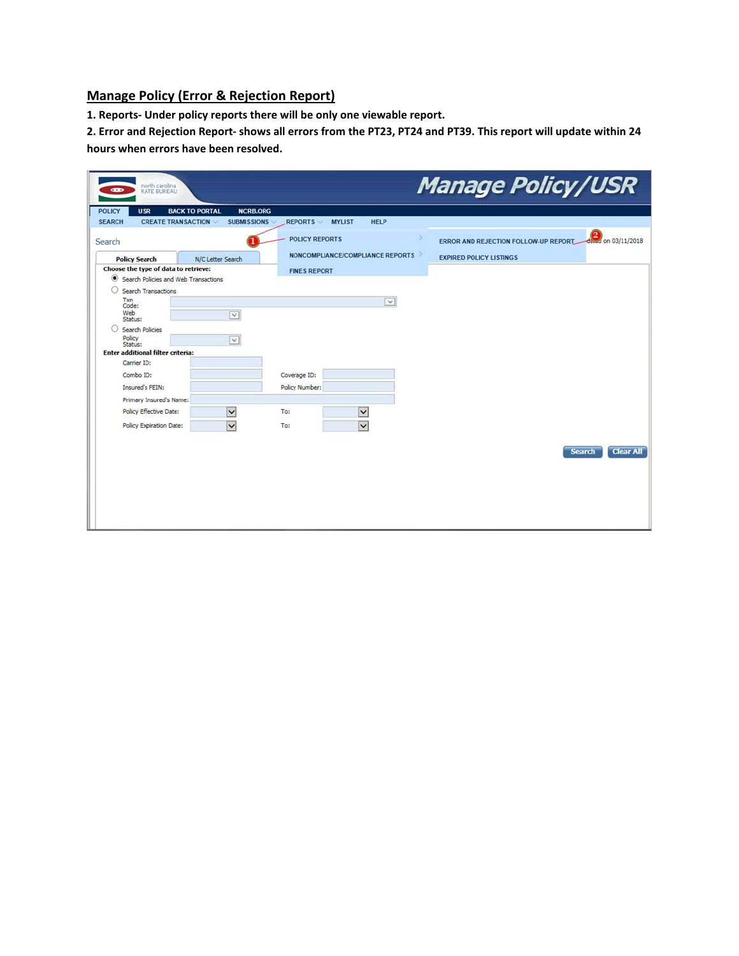#### **Manage Policy (Error & Rejection Report)**

**1. Reports- Under policy reports there will be only one viewable report.** 

**2. Error and Rejection Report- shows all errors from the PT23, PT24 and PT39. This report will update within 24 hours when errors have been resolved.**

| north carolina<br>RATE BUREAU<br>$\bullet$                                   |                                          |                                                | <b>Manage Policy/USR</b>                                           |
|------------------------------------------------------------------------------|------------------------------------------|------------------------------------------------|--------------------------------------------------------------------|
| <b>POLICY</b><br><b>USR</b>                                                  | <b>BACK TO PORTAL</b><br><b>NCRB.ORG</b> |                                                |                                                                    |
| <b>SEARCH</b><br><b>CREATE TRANSACTION</b>                                   | <b>SUBMISSIONS</b><br>$\sim$             | <b>REPORTS</b><br><b>MYLIST</b><br><b>HELP</b> |                                                                    |
| Search                                                                       |                                          | <b>POLICY REPORTS</b>                          | dawd on 03/11/2018<br><b>ERROR AND REJECTION FOLLOW-UP REPORT.</b> |
| <b>Policy Search</b>                                                         | N/C Letter Search                        | NONCOMPLIANCE/COMPLIANCE REPORTS               | <b>EXPIRED POLICY LISTINGS</b>                                     |
| Choose the type of data to retrieve:<br>Search Policies and Web Transactions |                                          | <b>FINES REPORT</b>                            |                                                                    |
| Search Transactions                                                          |                                          |                                                |                                                                    |
| Txn<br>Code:                                                                 |                                          | $\vert \vee \vert$                             |                                                                    |
| Web<br>Status:                                                               | $\overline{\vee}$                        |                                                |                                                                    |
| Search Policies                                                              |                                          |                                                |                                                                    |
| Policy<br>Status:                                                            | $\overline{\mathbf{v}}$                  |                                                |                                                                    |
| <b>Enter additional filter criteria:</b>                                     |                                          |                                                |                                                                    |
| Carrier ID:                                                                  |                                          |                                                |                                                                    |
| Combo ID:                                                                    |                                          | Coverage ID:                                   |                                                                    |
| Insured's FEIN:                                                              |                                          | Policy Number:                                 |                                                                    |
| Primary Insured's Name:                                                      |                                          |                                                |                                                                    |
| Policy Effective Date:                                                       | $\vee$                                   | To:<br>$\checkmark$                            |                                                                    |
| Policy Expiration Date:                                                      | $\overline{\mathbf{v}}$                  | $\overline{\mathsf{v}}$<br>To:                 |                                                                    |
|                                                                              |                                          |                                                |                                                                    |
|                                                                              |                                          |                                                | <b>Clear All</b><br><b>Search</b>                                  |
|                                                                              |                                          |                                                |                                                                    |
|                                                                              |                                          |                                                |                                                                    |
|                                                                              |                                          |                                                |                                                                    |
|                                                                              |                                          |                                                |                                                                    |
|                                                                              |                                          |                                                |                                                                    |
|                                                                              |                                          |                                                |                                                                    |